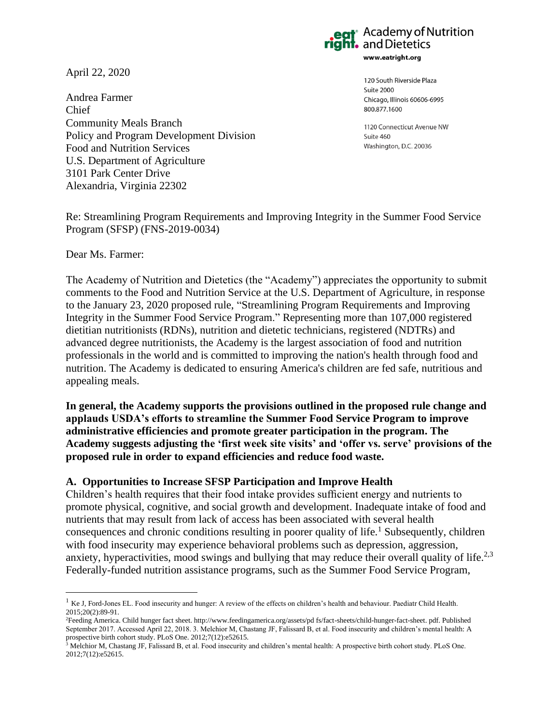April 22, 2020

Andrea Farmer Chief Community Meals Branch Policy and Program Development Division Food and Nutrition Services U.S. Department of Agriculture 3101 Park Center Drive Alexandria, Virginia 22302



120 South Riverside Plaza Suite 2000 Chicago, Illinois 60606-6995 800 877 1600

1120 Connecticut Avenue NW Suite 460 Washington, D.C. 20036

Re: Streamlining Program Requirements and Improving Integrity in the Summer Food Service Program (SFSP) (FNS-2019-0034)

Dear Ms. Farmer:

The Academy of Nutrition and Dietetics (the "Academy") appreciates the opportunity to submit comments to the Food and Nutrition Service at the U.S. Department of Agriculture, in response to the January 23, 2020 proposed rule, "Streamlining Program Requirements and Improving Integrity in the Summer Food Service Program." Representing more than 107,000 registered dietitian nutritionists (RDNs), nutrition and dietetic technicians, registered (NDTRs) and advanced degree nutritionists, the Academy is the largest association of food and nutrition professionals in the world and is committed to improving the nation's health through food and nutrition. The Academy is dedicated to ensuring America's children are fed safe, nutritious and appealing meals.

**In general, the Academy supports the provisions outlined in the proposed rule change and applauds USDA's efforts to streamline the Summer Food Service Program to improve administrative efficiencies and promote greater participation in the program. The Academy suggests adjusting the 'first week site visits' and 'offer vs. serve' provisions of the proposed rule in order to expand efficiencies and reduce food waste.** 

## **A. Opportunities to Increase SFSP Participation and Improve Health**

Children's health requires that their food intake provides sufficient energy and nutrients to promote physical, cognitive, and social growth and development. Inadequate intake of food and nutrients that may result from lack of access has been associated with several health consequences and chronic conditions resulting in poorer quality of life.<sup>1</sup> Subsequently, children with food insecurity may experience behavioral problems such as depression, aggression, anxiety, hyperactivities, mood swings and bullying that may reduce their overall quality of life.<sup>2,3</sup> Federally-funded nutrition assistance programs, such as the Summer Food Service Program,

 $1$  Ke J, Ford-Jones EL. Food insecurity and hunger: A review of the effects on children's health and behaviour. Paediatr Child Health. 2015;20(2):89-91.

<sup>2</sup>Feeding America. Child hunger fact sheet. http://www.feedingamerica.org/assets/pd fs/fact-sheets/child-hunger-fact-sheet. pdf. Published September 2017. Accessed April 22, 2018. 3. Melchior M, Chastang JF, Falissard B, et al. Food insecurity and children's mental health: A prospective birth cohort study. PLoS One. 2012;7(12):e52615.

<sup>&</sup>lt;sup>3</sup> Melchior M, Chastang JF, Falissard B, et al. Food insecurity and children's mental health: A prospective birth cohort study. PLoS One. 2012;7(12):e52615.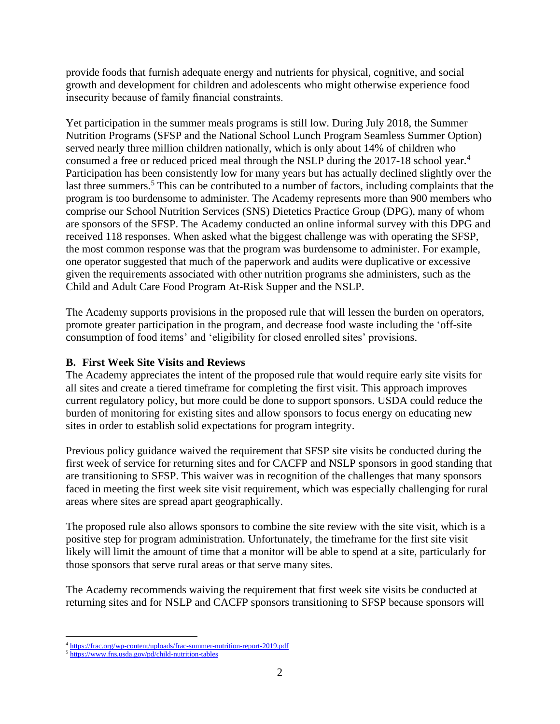provide foods that furnish adequate energy and nutrients for physical, cognitive, and social growth and development for children and adolescents who might otherwise experience food insecurity because of family financial constraints.

Yet participation in the summer meals programs is still low. During July 2018, the Summer Nutrition Programs (SFSP and the National School Lunch Program Seamless Summer Option) served nearly three million children nationally, which is only about 14% of children who consumed a free or reduced priced meal through the NSLP during the 2017-18 school year.<sup>4</sup> Participation has been consistently low for many years but has actually declined slightly over the last three summers.<sup>5</sup> This can be contributed to a number of factors, including complaints that the program is too burdensome to administer. The Academy represents more than 900 members who comprise our School Nutrition Services (SNS) Dietetics Practice Group (DPG), many of whom are sponsors of the SFSP. The Academy conducted an online informal survey with this DPG and received 118 responses. When asked what the biggest challenge was with operating the SFSP, the most common response was that the program was burdensome to administer. For example, one operator suggested that much of the paperwork and audits were duplicative or excessive given the requirements associated with other nutrition programs she administers, such as the Child and Adult Care Food Program At-Risk Supper and the NSLP.

The Academy supports provisions in the proposed rule that will lessen the burden on operators, promote greater participation in the program, and decrease food waste including the 'off-site consumption of food items' and 'eligibility for closed enrolled sites' provisions.

## **B. First Week Site Visits and Reviews**

The Academy appreciates the intent of the proposed rule that would require early site visits for all sites and create a tiered timeframe for completing the first visit. This approach improves current regulatory policy, but more could be done to support sponsors. USDA could reduce the burden of monitoring for existing sites and allow sponsors to focus energy on educating new sites in order to establish solid expectations for program integrity.

Previous policy guidance waived the requirement that SFSP site visits be conducted during the first week of service for returning sites and for CACFP and NSLP sponsors in good standing that are transitioning to SFSP. This waiver was in recognition of the challenges that many sponsors faced in meeting the first week site visit requirement, which was especially challenging for rural areas where sites are spread apart geographically.

The proposed rule also allows sponsors to combine the site review with the site visit, which is a positive step for program administration. Unfortunately, the timeframe for the first site visit likely will limit the amount of time that a monitor will be able to spend at a site, particularly for those sponsors that serve rural areas or that serve many sites.

The Academy recommends waiving the requirement that first week site visits be conducted at returning sites and for NSLP and CACFP sponsors transitioning to SFSP because sponsors will

<sup>4</sup> <https://frac.org/wp-content/uploads/frac-summer-nutrition-report-2019.pdf>

<sup>5</sup> <https://www.fns.usda.gov/pd/child-nutrition-tables>